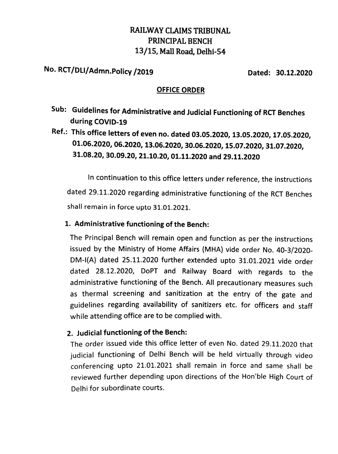### RAILWAY CLAIMS TRIBUNAL PRINCIPAL BENCH 13/15, Mall Road, Delhi-54

## No. RCT/DLI/Admn.Policy /2019 Dated: 30.12.2020

#### OFFICE ORDER

- Sub: Guidelines for Administrative and Judicial Functioning of RCT Benches during COvID-19
- Ref.: This office letters of even no. dated 03.05.2020, 13.05.2020, 17.05.2020, 01.06.2020, 06.2020, 13.06.2020, 30.06.2020, 15.07.2020, 31.07.2020, 31.08.20, 30.09.20, 21.10.20, 01.11.2020 and 29.11.2020

In continuation to this office letters under reference, the instructions dated 29.11.2020 regarding administrative functioning of the RCT Benches shall remain in force upto 31.01.2021.

#### 1. Administrative functioning of the Bench:

The Principal Bench will remain open and function as per the instructions issued by the Ministry of Home Affairs (MHA) vide order No. 40-3/2020- DM-I(A) dated 25.11.2020 further extended upto 31.01.2021 vide order dated 28.12.2020, DoPT and Railway Board with regards to the administrative functioning of the Bench. All precautionary measures such as thermal screening and sanitization at the entry of the gate and guidelines regarding availability of sanitizers etc. for officers and staff while attending office are to be complied with.

#### 2. Judicial functioning of the Bench:

The order issued vide this office letter of even No. dated 29.11.2020 that judicial functioning of Delhi Bench will be held virtually through video conferencing upto 21.01.2021 shall remain in force and same shall be reviewed further depending upon directions of the Hon'ble High Court of Delhi for subordinate courts.